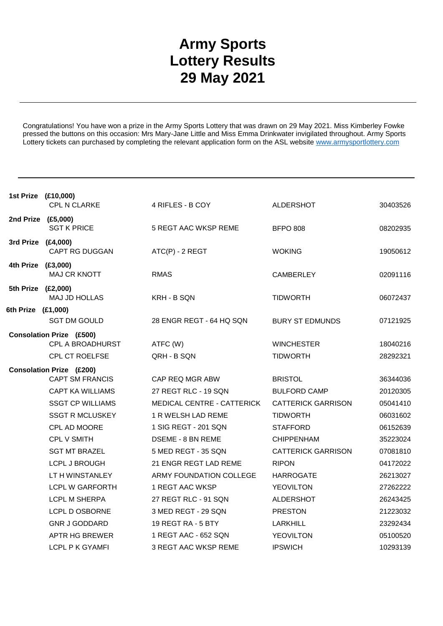## **Army Sports Lottery Results 29 May 2021**

Congratulations! You have won a prize in the Army Sports Lottery that was drawn on 29 May 2021. Miss Kimberley Fowke pressed the buttons on this occasion: Mrs Mary-Jane Little and Miss Emma Drinkwater invigilated throughout. Army Sports Lottery tickets can purchased by completing the relevant application form on the ASL website www.armysportlottery.com

|                    | 1st Prize (£10,000)<br><b>CPL N CLARKE</b>          | 4 RIFLES - B COY            | <b>ALDERSHOT</b>          | 30403526 |  |  |
|--------------------|-----------------------------------------------------|-----------------------------|---------------------------|----------|--|--|
| 2nd Prize (£5,000) | <b>SGT K PRICE</b>                                  | 5 REGT AAC WKSP REME        | <b>BFPO 808</b>           | 08202935 |  |  |
| 3rd Prize (£4,000) | <b>CAPT RG DUGGAN</b>                               | ATC(P) - 2 REGT             | <b>WOKING</b>             | 19050612 |  |  |
| 4th Prize (£3,000) | MAJ CR KNOTT                                        | RMAS                        | <b>CAMBERLEY</b>          | 02091116 |  |  |
| 5th Prize (£2,000) | MAJ JD HOLLAS                                       | KRH - B SQN                 | <b>TIDWORTH</b>           | 06072437 |  |  |
| 6th Prize (£1,000) |                                                     |                             |                           |          |  |  |
|                    | <b>SGT DM GOULD</b>                                 | 28 ENGR REGT - 64 HQ SQN    | <b>BURY ST EDMUNDS</b>    | 07121925 |  |  |
|                    | <b>Consolation Prize (£500)</b><br>CPL A BROADHURST | ATFC (W)                    | <b>WINCHESTER</b>         | 18040216 |  |  |
|                    | <b>CPL CT ROELFSE</b>                               | QRH - B SQN                 | <b>TIDWORTH</b>           | 28292321 |  |  |
|                    | <b>Consolation Prize (£200)</b>                     |                             |                           |          |  |  |
|                    | <b>CAPT SM FRANCIS</b>                              | CAP REQ MGR ABW             | <b>BRISTOL</b>            | 36344036 |  |  |
|                    | <b>CAPT KA WILLIAMS</b>                             | 27 REGT RLC - 19 SQN        | <b>BULFORD CAMP</b>       | 20120305 |  |  |
|                    | <b>SSGT CP WILLIAMS</b>                             | MEDICAL CENTRE - CATTERICK  | <b>CATTERICK GARRISON</b> | 05041410 |  |  |
|                    | <b>SSGT R MCLUSKEY</b>                              | 1 R WELSH LAD REME          | <b>TIDWORTH</b>           | 06031602 |  |  |
|                    | CPL AD MOORE                                        | 1 SIG REGT - 201 SQN        | <b>STAFFORD</b>           | 06152639 |  |  |
|                    | <b>CPL V SMITH</b>                                  | <b>DSEME - 8 BN REME</b>    | <b>CHIPPENHAM</b>         | 35223024 |  |  |
|                    | <b>SGT MT BRAZEL</b>                                | 5 MED REGT - 35 SQN         | <b>CATTERICK GARRISON</b> | 07081810 |  |  |
|                    | LCPL J BROUGH                                       | 21 ENGR REGT LAD REME       | <b>RIPON</b>              | 04172022 |  |  |
|                    | LT H WINSTANLEY                                     | ARMY FOUNDATION COLLEGE     | <b>HARROGATE</b>          | 26213027 |  |  |
|                    | LCPL W GARFORTH                                     | 1 REGT AAC WKSP             | <b>YEOVILTON</b>          | 27262222 |  |  |
|                    | <b>LCPL M SHERPA</b>                                | 27 REGT RLC - 91 SQN        | <b>ALDERSHOT</b>          | 26243425 |  |  |
|                    | LCPL D OSBORNE                                      | 3 MED REGT - 29 SQN         | <b>PRESTON</b>            | 21223032 |  |  |
|                    | <b>GNR J GODDARD</b>                                | 19 REGT RA - 5 BTY          | <b>LARKHILL</b>           | 23292434 |  |  |
|                    | <b>APTR HG BREWER</b>                               | 1 REGT AAC - 652 SQN        | <b>YEOVILTON</b>          | 05100520 |  |  |
|                    | LCPL P K GYAMFI                                     | <b>3 REGT AAC WKSP REME</b> | <b>IPSWICH</b>            | 10293139 |  |  |